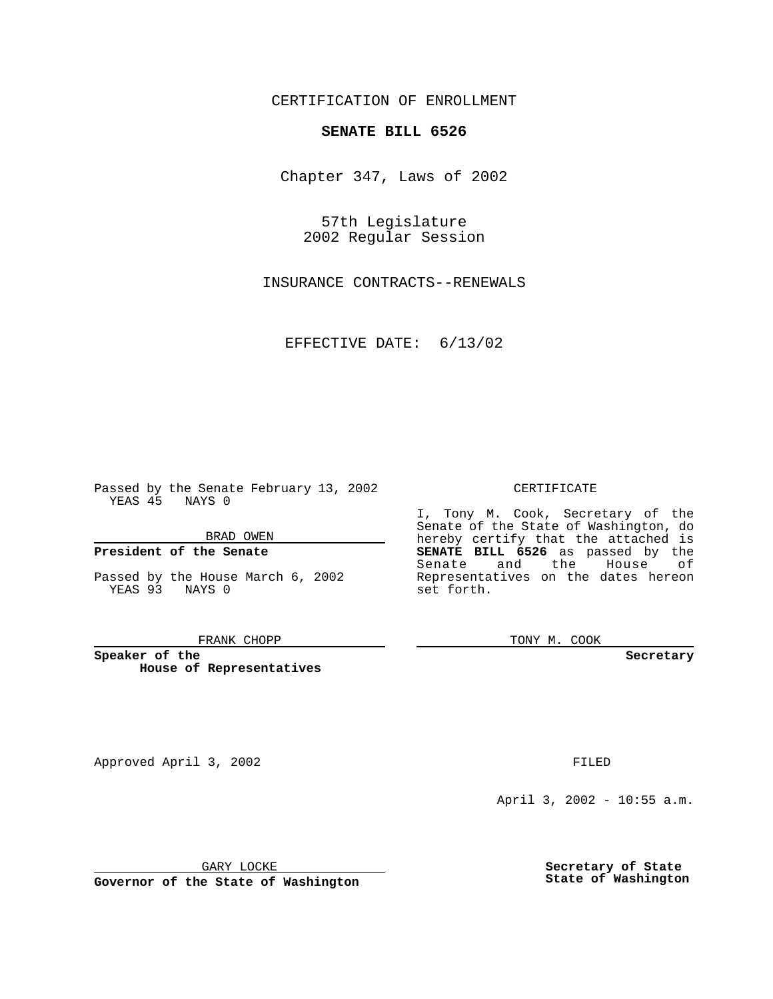CERTIFICATION OF ENROLLMENT

# **SENATE BILL 6526**

Chapter 347, Laws of 2002

57th Legislature 2002 Regular Session

INSURANCE CONTRACTS--RENEWALS

EFFECTIVE DATE: 6/13/02

Passed by the Senate February 13, 2002 YEAS 45 NAYS 0

BRAD OWEN

### **President of the Senate**

Passed by the House March 6, 2002 YEAS 93 NAYS 0

#### FRANK CHOPP

**Speaker of the House of Representatives**

Approved April 3, 2002 **FILED** 

April 3, 2002 - 10:55 a.m.

GARY LOCKE

**Governor of the State of Washington**

**Secretary of State State of Washington**

### CERTIFICATE

I, Tony M. Cook, Secretary of the Senate of the State of Washington, do hereby certify that the attached is **SENATE BILL 6526** as passed by the Senate and the House of Representatives on the dates hereon set forth.

TONY M. COOK

**Secretary**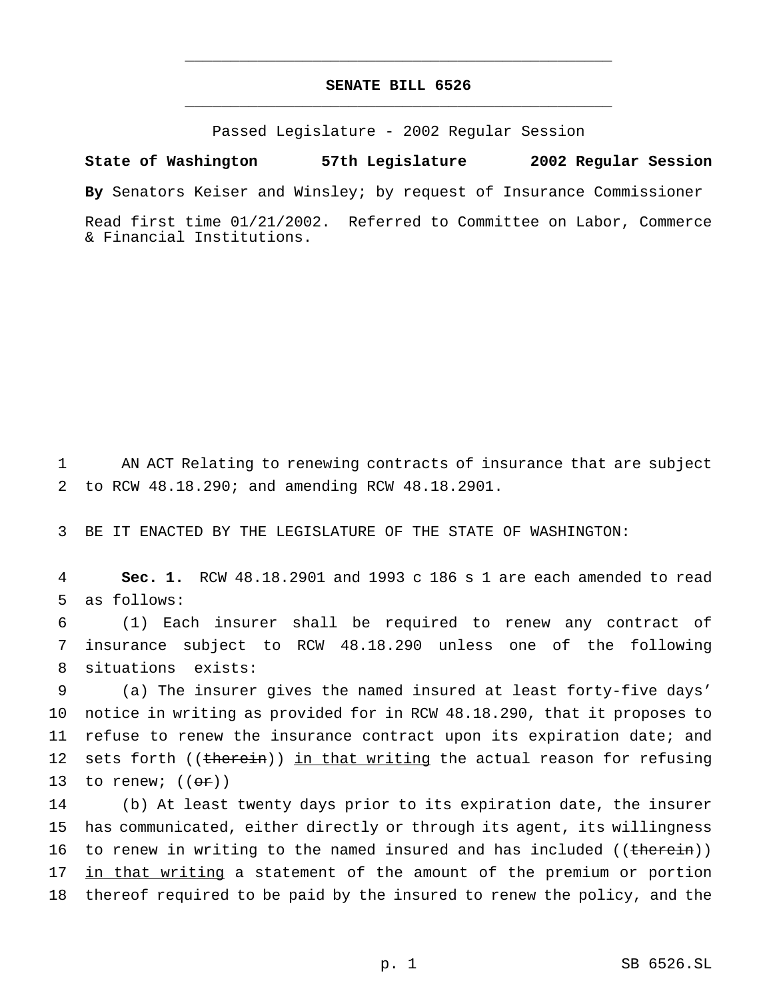## **SENATE BILL 6526** \_\_\_\_\_\_\_\_\_\_\_\_\_\_\_\_\_\_\_\_\_\_\_\_\_\_\_\_\_\_\_\_\_\_\_\_\_\_\_\_\_\_\_\_\_\_\_

\_\_\_\_\_\_\_\_\_\_\_\_\_\_\_\_\_\_\_\_\_\_\_\_\_\_\_\_\_\_\_\_\_\_\_\_\_\_\_\_\_\_\_\_\_\_\_

Passed Legislature - 2002 Regular Session

**State of Washington 57th Legislature 2002 Regular Session**

**By** Senators Keiser and Winsley; by request of Insurance Commissioner

Read first time 01/21/2002. Referred to Committee on Labor, Commerce & Financial Institutions.

1 AN ACT Relating to renewing contracts of insurance that are subject 2 to RCW 48.18.290; and amending RCW 48.18.2901.

3 BE IT ENACTED BY THE LEGISLATURE OF THE STATE OF WASHINGTON:

4 **Sec. 1.** RCW 48.18.2901 and 1993 c 186 s 1 are each amended to read 5 as follows:

6 (1) Each insurer shall be required to renew any contract of 7 insurance subject to RCW 48.18.290 unless one of the following 8 situations exists:

9 (a) The insurer gives the named insured at least forty-five days' 10 notice in writing as provided for in RCW 48.18.290, that it proposes to 11 refuse to renew the insurance contract upon its expiration date; and 12 sets forth ((therein)) in that writing the actual reason for refusing 13 to renew;  $((\theta \mathbf{r}))$ 

14 (b) At least twenty days prior to its expiration date, the insurer 15 has communicated, either directly or through its agent, its willingness 16 to renew in writing to the named insured and has included ((therein)) 17 in that writing a statement of the amount of the premium or portion 18 thereof required to be paid by the insured to renew the policy, and the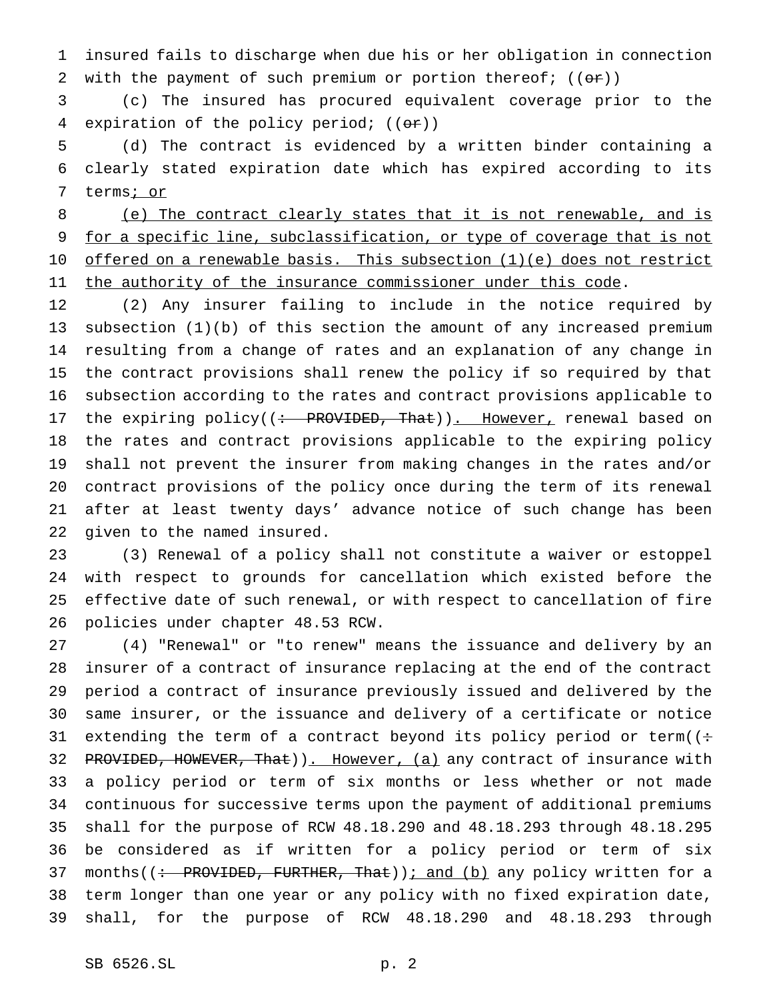insured fails to discharge when due his or her obligation in connection 2 with the payment of such premium or portion thereof;  $((\theta \cdot \mathbf{r}))$ 

 (c) The insured has procured equivalent coverage prior to the 4 expiration of the policy period;  $((or))$ 

 (d) The contract is evidenced by a written binder containing a clearly stated expiration date which has expired according to its 7 terms; or

 (e) The contract clearly states that it is not renewable, and is 9 for a specific line, subclassification, or type of coverage that is not 10 offered on a renewable basis. This subsection (1)(e) does not restrict 11 the authority of the insurance commissioner under this code.

 (2) Any insurer failing to include in the notice required by subsection (1)(b) of this section the amount of any increased premium resulting from a change of rates and an explanation of any change in the contract provisions shall renew the policy if so required by that subsection according to the rates and contract provisions applicable to 17 the expiring policy((: PROVIDED, That)). However, renewal based on the rates and contract provisions applicable to the expiring policy shall not prevent the insurer from making changes in the rates and/or contract provisions of the policy once during the term of its renewal after at least twenty days' advance notice of such change has been given to the named insured.

 (3) Renewal of a policy shall not constitute a waiver or estoppel with respect to grounds for cancellation which existed before the effective date of such renewal, or with respect to cancellation of fire policies under chapter 48.53 RCW.

 (4) "Renewal" or "to renew" means the issuance and delivery by an insurer of a contract of insurance replacing at the end of the contract period a contract of insurance previously issued and delivered by the same insurer, or the issuance and delivery of a certificate or notice 31 extending the term of a contract beyond its policy period or term( $($ : 32 PROVIDED, HOWEVER, That)). However, (a) any contract of insurance with a policy period or term of six months or less whether or not made continuous for successive terms upon the payment of additional premiums shall for the purpose of RCW 48.18.290 and 48.18.293 through 48.18.295 be considered as if written for a policy period or term of six 37 months((: PROVIDED, FURTHER, That)); and (b) any policy written for a term longer than one year or any policy with no fixed expiration date, shall, for the purpose of RCW 48.18.290 and 48.18.293 through